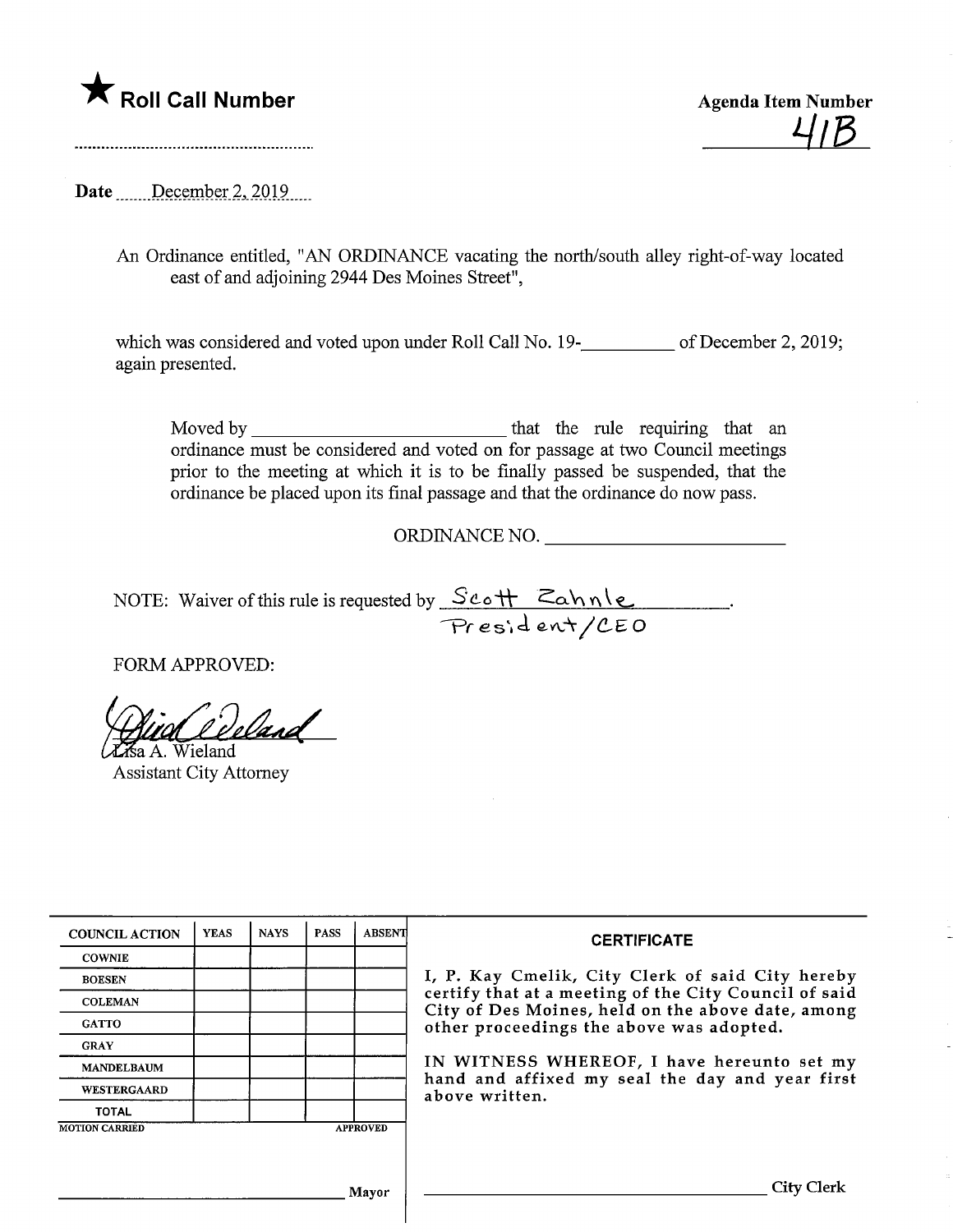

<u> 41B</u>

Date December 2, 2019

An Ordinance entitled, "AN ORDINANCE vacating the north/south alley right-of-way located east of and adjoining 2944 Des Moines Street",

which was considered and voted upon under Roll Call No. 19—18 of December 2, 2019; again presented.

Moved by that the mle requiring that an ordinance must be considered and voted on for passage at two Council meetings prior to the meeting at which it is to be finally passed be suspended, that the ordinance be placed upon its final passage and that the ordinance do now pass.

ORDINANCE NO.

NOTE: Waiver of this rule is requested by  $\text{ScoH}$   $\text{Cohnle}$ President/CEO

FORM APPROVED:

?a A. Wieland  $\ell$ and

Assistant City Attorney

| <b>COUNCIL ACTION</b>                    | <b>YEAS</b> | <b>NAYS</b> | <b>PASS</b> | <b>ABSENT</b> | <b>CERTIFICATE</b><br>I, P. Kay Cmelik, City Clerk of said City hereby<br>certify that at a meeting of the City Council of said<br>City of Des Moines, held on the above date, among<br>other proceedings the above was adopted.<br>IN WITNESS WHEREOF, I have hereunto set my<br>hand and affixed my seal the day and year first<br>above written. |
|------------------------------------------|-------------|-------------|-------------|---------------|-----------------------------------------------------------------------------------------------------------------------------------------------------------------------------------------------------------------------------------------------------------------------------------------------------------------------------------------------------|
| <b>COWNIE</b>                            |             |             |             |               |                                                                                                                                                                                                                                                                                                                                                     |
| <b>BOESEN</b>                            |             |             |             |               |                                                                                                                                                                                                                                                                                                                                                     |
| <b>COLEMAN</b>                           |             |             |             |               |                                                                                                                                                                                                                                                                                                                                                     |
| <b>GATTO</b>                             |             |             |             |               |                                                                                                                                                                                                                                                                                                                                                     |
| <b>GRAY</b>                              |             |             |             |               |                                                                                                                                                                                                                                                                                                                                                     |
| <b>MANDELBAUM</b>                        |             |             |             |               |                                                                                                                                                                                                                                                                                                                                                     |
| WESTERGAARD                              |             |             |             |               |                                                                                                                                                                                                                                                                                                                                                     |
| <b>TOTAL</b>                             |             |             |             |               |                                                                                                                                                                                                                                                                                                                                                     |
| <b>MOTION CARRIED</b><br><b>APPROVED</b> |             |             |             |               |                                                                                                                                                                                                                                                                                                                                                     |
|                                          |             |             |             |               |                                                                                                                                                                                                                                                                                                                                                     |
|                                          |             |             |             |               |                                                                                                                                                                                                                                                                                                                                                     |
| Mayor                                    |             |             |             |               | City Clerk                                                                                                                                                                                                                                                                                                                                          |